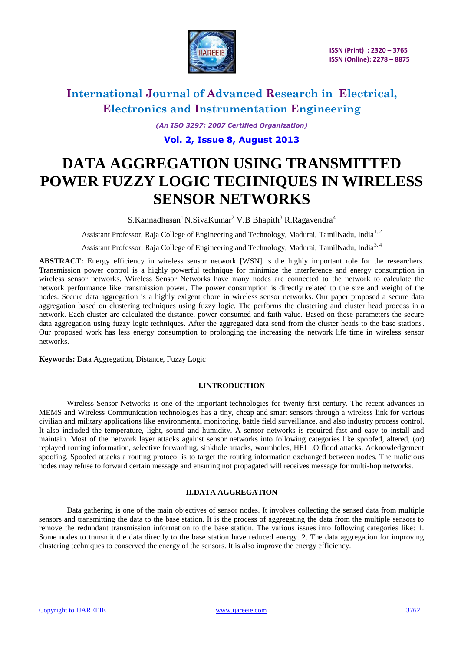

*(An ISO 3297: 2007 Certified Organization)*

### **Vol. 2, Issue 8, August 2013**

# **DATA AGGREGATION USING TRANSMITTED POWER FUZZY LOGIC TECHNIQUES IN WIRELESS SENSOR NETWORKS**

 $S.Kannadhasan<sup>1</sup> N.SivaKumar<sup>2</sup> V.B Bhapith<sup>3</sup> R.Ragavendra<sup>4</sup>$ 

Assistant Professor, Raja College of Engineering and Technology, Madurai, TamilNadu, India<sup>1, 2</sup>

Assistant Professor, Raja College of Engineering and Technology, Madurai, TamilNadu, India<sup>3, 4</sup>

**ABSTRACT:** Energy efficiency in wireless sensor network [WSN] is the highly important role for the researchers. Transmission power control is a highly powerful technique for minimize the interference and energy consumption in wireless sensor networks. Wireless Sensor Networks have many nodes are connected to the network to calculate the network performance like transmission power. The power consumption is directly related to the size and weight of the nodes. Secure data aggregation is a highly exigent chore in wireless sensor networks. Our paper proposed a secure data aggregation based on clustering techniques using fuzzy logic. The performs the clustering and cluster head process in a network. Each cluster are calculated the distance, power consumed and faith value. Based on these parameters the secure data aggregation using fuzzy logic techniques. After the aggregated data send from the cluster heads to the base stations. Our proposed work has less energy consumption to prolonging the increasing the network life time in wireless sensor networks.

**Keywords:** Data Aggregation, Distance, Fuzzy Logic

#### **I.INTRODUCTION**

Wireless Sensor Networks is one of the important technologies for twenty first century. The recent advances in MEMS and Wireless Communication technologies has a tiny, cheap and smart sensors through a wireless link for various civilian and military applications like environmental monitoring, battle field surveillance, and also industry process control. It also included the temperature, light, sound and humidity. A sensor networks is required fast and easy to install and maintain. Most of the network layer attacks against sensor networks into following categories like spoofed, altered, (or) replayed routing information, selective forwarding, sinkhole attacks, wormholes, HELLO flood attacks, Acknowledgement spoofing. Spoofed attacks a routing protocol is to target the routing information exchanged between nodes. The malicious nodes may refuse to forward certain message and ensuring not propagated will receives message for multi-hop networks.

#### **II.DATA AGGREGATION**

Data gathering is one of the main objectives of sensor nodes. It involves collecting the sensed data from multiple sensors and transmitting the data to the base station. It is the process of aggregating the data from the multiple sensors to remove the redundant transmission information to the base station. The various issues into following categories like: 1. Some nodes to transmit the data directly to the base station have reduced energy. 2. The data aggregation for improving clustering techniques to conserved the energy of the sensors. It is also improve the energy efficiency.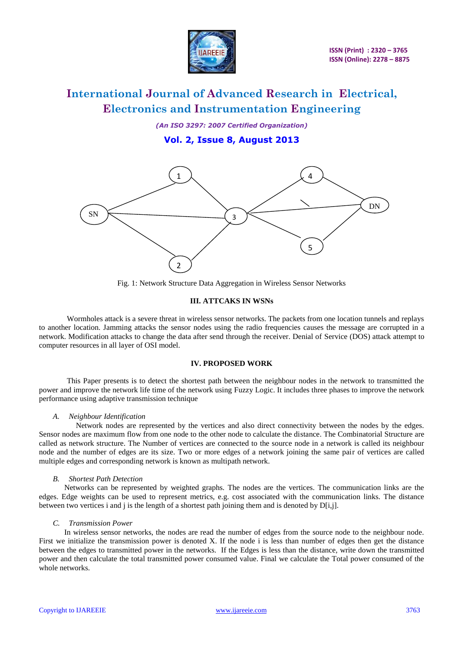

*(An ISO 3297: 2007 Certified Organization)*

**Vol. 2, Issue 8, August 2013**



Fig. 1: Network Structure Data Aggregation in Wireless Sensor Networks

#### **III. ATTCAKS IN WSNs**

Wormholes attack is a severe threat in wireless sensor networks. The packets from one location tunnels and replays to another location. Jamming attacks the sensor nodes using the radio frequencies causes the message are corrupted in a network. Modification attacks to change the data after send through the receiver. Denial of Service (DOS) attack attempt to computer resources in all layer of OSI model.

#### **IV. PROPOSED WORK**

This Paper presents is to detect the shortest path between the neighbour nodes in the network to transmitted the power and improve the network life time of the network using Fuzzy Logic. It includes three phases to improve the network performance using adaptive transmission technique

#### *A. Neighbour Identification*

 Network nodes are represented by the vertices and also direct connectivity between the nodes by the edges. Sensor nodes are maximum flow from one node to the other node to calculate the distance. The Combinatorial Structure are called as network structure. The Number of vertices are connected to the source node in a network is called its neighbour node and the number of edges are its size. Two or more edges of a network joining the same pair of vertices are called multiple edges and corresponding network is known as multipath network.

#### *B. Shortest Path Detection*

 Networks can be represented by weighted graphs. The nodes are the vertices. The communication links are the edges. Edge weights can be used to represent metrics, e.g. cost associated with the communication links. The distance between two vertices i and j is the length of a shortest path joining them and is denoted by  $D[i,j]$ .

#### *C. Transmission Power*

 In wireless sensor networks, the nodes are read the number of edges from the source node to the neighbour node. First we initialize the transmission power is denoted X. If the node i is less than number of edges then get the distance between the edges to transmitted power in the networks. If the Edges is less than the distance, write down the transmitted power and then calculate the total transmitted power consumed value. Final we calculate the Total power consumed of the whole networks.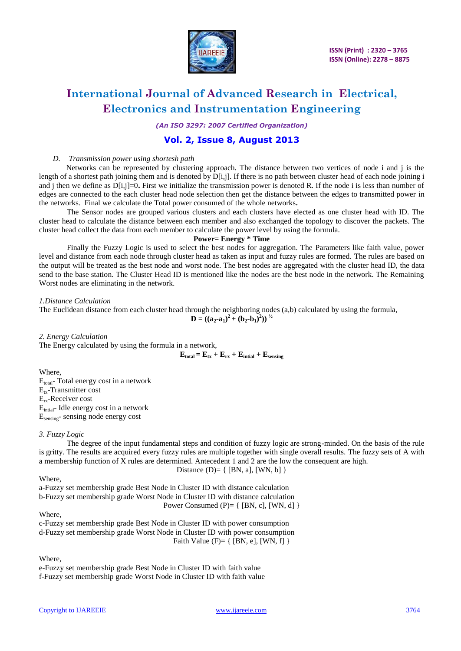

*(An ISO 3297: 2007 Certified Organization)*

### **Vol. 2, Issue 8, August 2013**

#### *D. Transmission power using shortesh path*

 Networks can be represented by clustering approach. The distance between two vertices of node i and j is the length of a shortest path joining them and is denoted by D[i,j]. If there is no path between cluster head of each node joining i and j then we define as  $D[i,j]=0$ . First we initialize the transmission power is denoted R. If the node i is less than number of edges are connected to the each cluster head node selection then get the distance between the edges to transmitted power in the networks. Final we calculate the Total power consumed of the whole networks**.**

The Sensor nodes are grouped various clusters and each clusters have elected as one cluster head with ID. The cluster head to calculate the distance between each member and also exchanged the topology to discover the packets. The cluster head collect the data from each member to calculate the power level by using the formula.

#### **Power= Energy \* Time**

Finally the Fuzzy Logic is used to select the best nodes for aggregation. The Parameters like faith value, power level and distance from each node through cluster head as taken as input and fuzzy rules are formed. The rules are based on the output will be treated as the best node and worst node. The best nodes are aggregated with the cluster head ID, the data send to the base station. The Cluster Head ID is mentioned like the nodes are the best node in the network. The Remaining Worst nodes are eliminating in the network.

*1.Distance Calculation*

The Euclidean distance from each cluster head through the neighboring nodes (a,b) calculated by using the formula,

**D** =  $((a_2-a_1)^2 + (b_2-b_1)^2)^{1/2}$ 

*2. Energy Calculation*

The Energy calculated by using the formula in a network,

 $\mathbf{E}_{\text{total}} = \mathbf{E}_{\text{tx}} + \mathbf{E}_{\text{rx}} + \mathbf{E}_{\text{initial}} + \mathbf{E}_{\text{sensing}}$ 

Where, E<sub>total</sub>- Total energy cost in a network  $E_{tx}$ -Transmitter cost Erx-Receiver cost Eintial- Idle energy cost in a network Esensing- sensing node energy cost

#### *3. Fuzzy Logic*

The degree of the input fundamental steps and condition of fuzzy logic are strong-minded. On the basis of the rule is gritty. The results are acquired every fuzzy rules are multiple together with single overall results. The fuzzy sets of A with a membership function of X rules are determined. Antecedent 1 and 2 are the low the consequent are high.

Distance (D)= { 
$$
[BN, a]
$$
,  $[WN, b]$  }

Where,

a-Fuzzy set membership grade Best Node in Cluster ID with distance calculation b-Fuzzy set membership grade Worst Node in Cluster ID with distance calculation Power Consumed  $(P)= \{ [BN, c], [WN, d] \}$ 

#### Where,

c-Fuzzy set membership grade Best Node in Cluster ID with power consumption d-Fuzzy set membership grade Worst Node in Cluster ID with power consumption Faith Value  $(F)= \{ [BN, e], [WN, f] \}$ 

Where,

e-Fuzzy set membership grade Best Node in Cluster ID with faith value f-Fuzzy set membership grade Worst Node in Cluster ID with faith value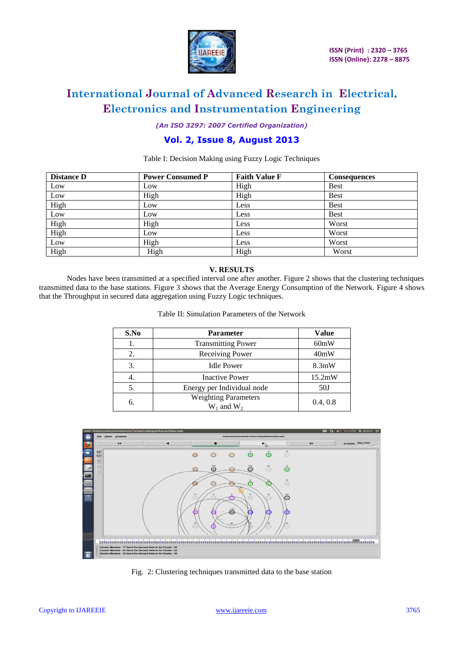

*(An ISO 3297: 2007 Certified Organization)*

### **Vol. 2, Issue 8, August 2013**

Table I: Decision Making using Fuzzy Logic Techniques

| <b>Distance D</b> | <b>Power Consumed P</b> | <b>Faith Value F</b> | <b>Consequences</b> |
|-------------------|-------------------------|----------------------|---------------------|
| Low               | Low                     | High                 | <b>Best</b>         |
| Low               | High                    | High                 | <b>Best</b>         |
| High              | Low                     | Less                 | <b>Best</b>         |
| Low               | Low                     | Less                 | <b>Best</b>         |
| High              | High                    | Less                 | Worst               |
| High              | Low                     | Less                 | Worst               |
| Low               | High                    | Less                 | Worst               |
| High              | High                    | High                 | Worst               |

#### **V. RESULTS**

Nodes have been transmitted at a specified interval one after another. Figure 2 shows that the clustering techniques transmitted data to the base stations. Figure 3 shows that the Average Energy Consumption of the Network. Figure 4 shows that the Throughput in secured data aggregation using Fuzzy Logic techniques.

| S.No | <b>Parameter</b>                               | <b>Value</b> |
|------|------------------------------------------------|--------------|
| 1.   | <b>Transmitting Power</b>                      | 60mW         |
| 2.   | Receiving Power                                | 40mW         |
| 3.   | <b>Idle Power</b>                              | 8.3mW        |
| 4.   | <b>Inactive Power</b>                          | 15.2mW       |
| 5.   | Energy per Individual node                     | 50J          |
| 6.   | <b>Weighting Parameters</b><br>$W_1$ and $W_2$ | 0.4, 0.8     |

Table II: Simulation Parameters of the Network



Fig. 2: Clustering techniques transmitted data to the base station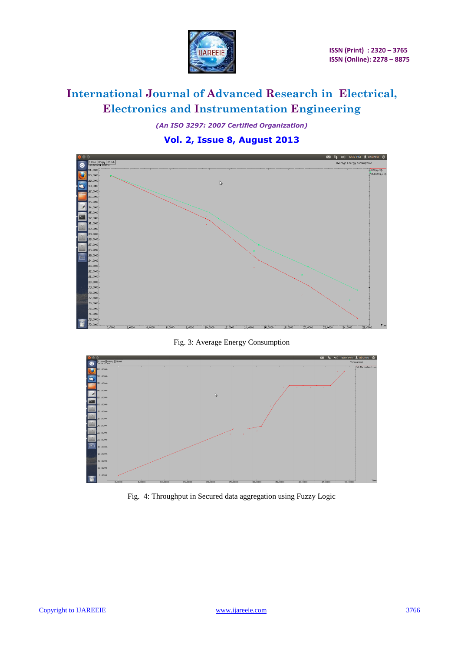

*(An ISO 3297: 2007 Certified Organization)*

### **Vol. 2, Issue 8, August 2013**



Fig. 3: Average Energy Consumption



Fig. 4: Throughput in Secured data aggregation using Fuzzy Logic